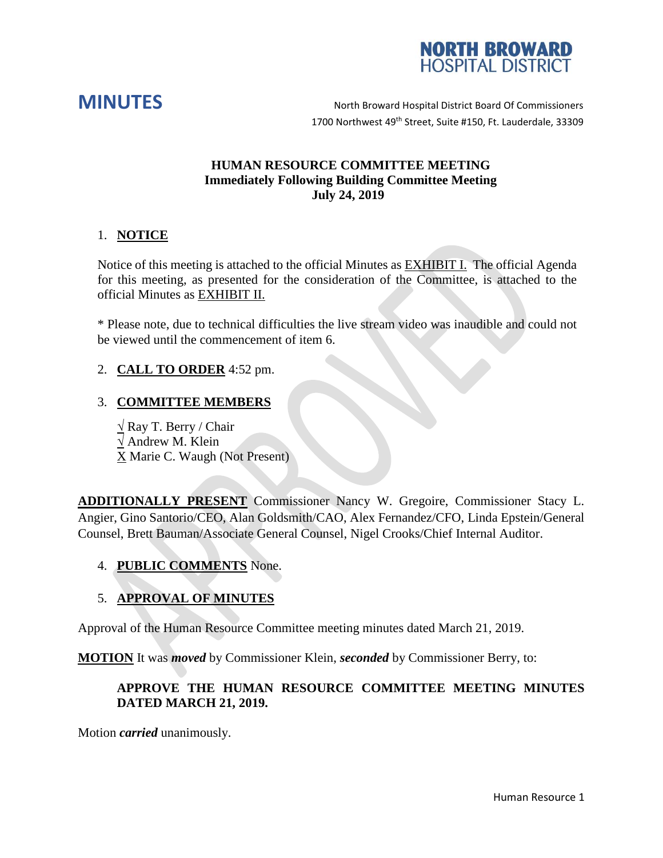



**MINUTES** North Broward Hospital District Board Of Commissioners 1700 Northwest 49<sup>th</sup> Street, Suite #150, Ft. Lauderdale, 33309

## **HUMAN RESOURCE COMMITTEE MEETING Immediately Following Building Committee Meeting July 24, 2019**

## 1. **NOTICE**

Notice of this meeting is attached to the official Minutes as EXHIBIT I. The official Agenda for this meeting, as presented for the consideration of the Committee, is attached to the official Minutes as EXHIBIT II.

\* Please note, due to technical difficulties the live stream video was inaudible and could not be viewed until the commencement of item 6.

## 2. **CALL TO ORDER** 4:52 pm.

# 3. **COMMITTEE MEMBERS**

**√** Ray T. Berry / Chair **√** Andrew M. Klein X Marie C. Waugh (Not Present)

**ADDITIONALLY PRESENT** Commissioner Nancy W. Gregoire, Commissioner Stacy L. Angier, Gino Santorio/CEO, Alan Goldsmith/CAO, Alex Fernandez/CFO, Linda Epstein/General Counsel, Brett Bauman/Associate General Counsel, Nigel Crooks/Chief Internal Auditor.

## 4. **PUBLIC COMMENTS** None.

# 5. **APPROVAL OF MINUTES**

Approval of the Human Resource Committee meeting minutes dated March 21, 2019.

**MOTION** It was *moved* by Commissioner Klein, *seconded* by Commissioner Berry, to:

## **APPROVE THE HUMAN RESOURCE COMMITTEE MEETING MINUTES DATED MARCH 21, 2019.**

Motion *carried* unanimously.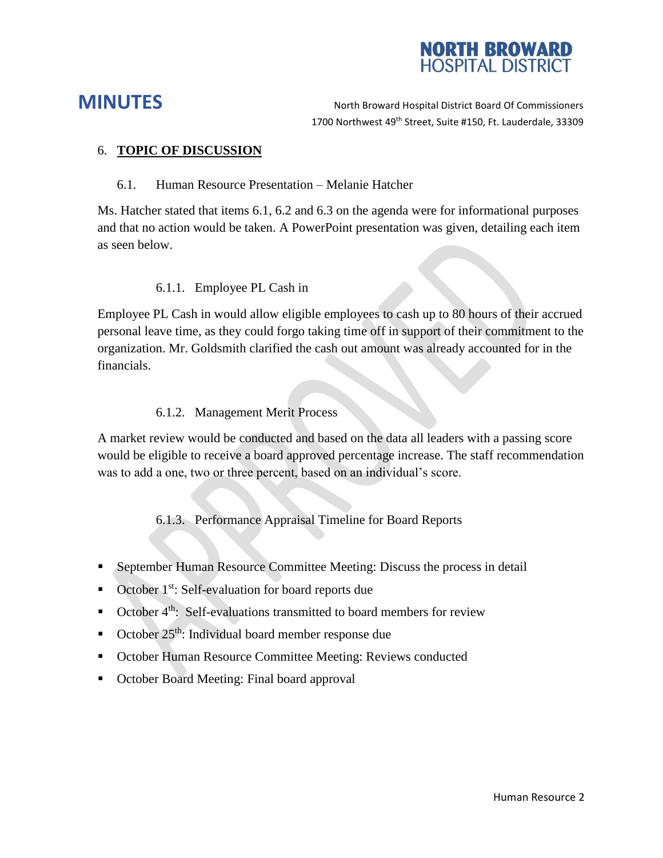

**MINUTES** North Broward Hospital District Board Of Commissioners 1700 Northwest 49<sup>th</sup> Street, Suite #150, Ft. Lauderdale, 33309

## 6. **TOPIC OF DISCUSSION**

#### 6.1. Human Resource Presentation – Melanie Hatcher

Ms. Hatcher stated that items 6.1, 6.2 and 6.3 on the agenda were for informational purposes and that no action would be taken. A PowerPoint presentation was given, detailing each item as seen below.

#### 6.1.1. Employee PL Cash in

Employee PL Cash in would allow eligible employees to cash up to 80 hours of their accrued personal leave time, as they could forgo taking time off in support of their commitment to the organization. Mr. Goldsmith clarified the cash out amount was already accounted for in the financials.

#### 6.1.2. Management Merit Process

A market review would be conducted and based on the data all leaders with a passing score would be eligible to receive a board approved percentage increase. The staff recommendation was to add a one, two or three percent, based on an individual's score.

6.1.3. Performance Appraisal Timeline for Board Reports

- September Human Resource Committee Meeting: Discuss the process in detail
- $\blacksquare$  October 1<sup>st</sup>: Self-evaluation for board reports due
- $\blacksquare$  October 4<sup>th</sup>: Self-evaluations transmitted to board members for review
- October  $25<sup>th</sup>$ : Individual board member response due
- October Human Resource Committee Meeting: Reviews conducted
- October Board Meeting: Final board approval